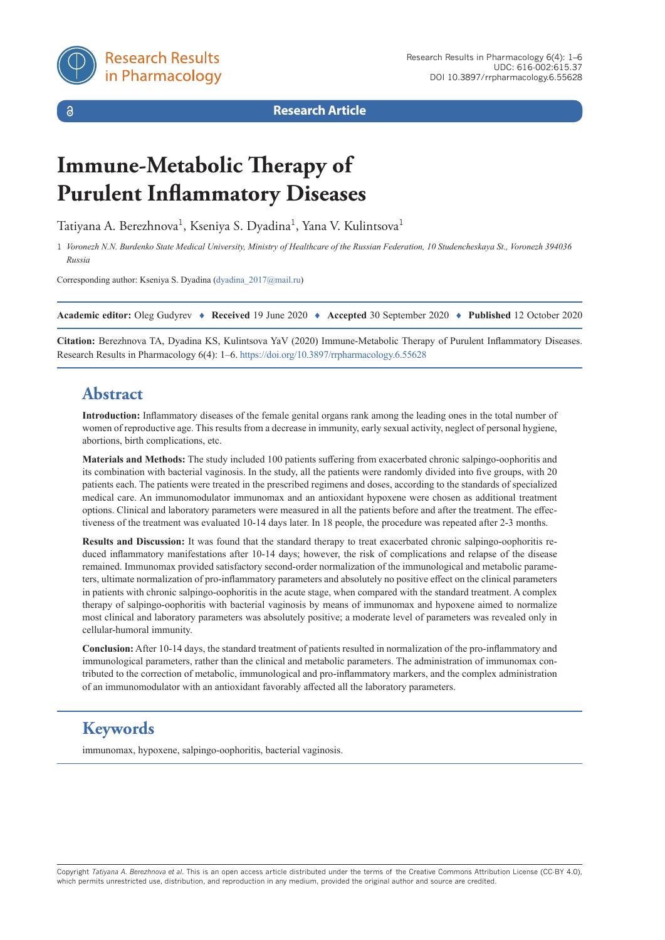$\delta$ 

**Research Article**

# **Immune-Metabolic Therapy of Purulent Inflammatory Diseases**

Tatiyana A. Berezhnova<sup>1</sup>, Kseniya S. Dyadina<sup>1</sup>, Yana V. Kulintsova<sup>1</sup>

1 *Voronezh N.N. Burdenko State Medical University, Ministry of Healthcare of the Russian Federation, 10 Studencheskaya St., Voronezh 394036 Russia*

Corresponding author: Kseniya S. Dyadina ([dyadina\\_2017@mail.ru](mailto:dyadina_2017@mail.ru))

**Academic editor:** Oleg Gudyrev ♦ **Received** 19 June 2020 ♦ **Accepted** 30 September 2020 ♦ **Published** 12 October 2020

**Citation:** Berezhnova TA, Dyadina KS, Kulintsova YaV (2020) Immune-Metabolic Therapy of Purulent Inflammatory Diseases. Research Results in Pharmacology 6(4): 1–6.<https://doi.org/10.3897/rrpharmacology.6.55628>

# **Abstract**

**Introduction:** Inflammatory diseases of the female genital organs rank among the leading ones in the total number of women of reproductive age. This results from a decrease in immunity, early sexual activity, neglect of personal hygiene, abortions, birth complications, etc.

**Materials and Methods:** The study included 100 patients suffering from exacerbated chronic salpingo-oophoritis and its combination with bacterial vaginosis. In the study, all the patients were randomly divided into five groups, with 20 patients each. The patients were treated in the prescribed regimens and doses, according to the standards of specialized medical care. An immunomodulator immunomax and an antioxidant hypoxene were chosen as additional treatment options. Clinical and laboratory parameters were measured in all the patients before and after the treatment. The effectiveness of the treatment was evaluated 10-14 days later. In 18 people, the procedure was repeated after 2-3 months.

**Results and Discussion:** It was found that the standard therapy to treat exacerbated chronic salpingo-oophoritis reduced inflammatory manifestations after 10-14 days; however, the risk of complications and relapse of the disease remained. Immunomax provided satisfactory second-order normalization of the immunological and metabolic parameters, ultimate normalization of pro-inflammatory parameters and absolutely no positive effect on the clinical parameters in patients with chronic salpingo-oophoritis in the acute stage, when compared with the standard treatment. A complex therapy of salpingo-oophoritis with bacterial vaginosis by means of immunomax and hypoxene aimed to normalize most clinical and laboratory parameters was absolutely positive; a moderate level of parameters was revealed only in cellular-humoral immunity.

**Conclusion:** After 10-14 days, the standard treatment of patients resulted in normalization of the pro-inflammatory and immunological parameters, rather than the clinical and metabolic parameters. The administration of immunomax contributed to the correction of metabolic, immunological and pro-inflammatory markers, and the complex administration of an immunomodulator with an antioxidant favorably affected all the laboratory parameters.

# **Keywords**

immunomax, hypoxene, salpingo-oophoritis, bacterial vaginosis.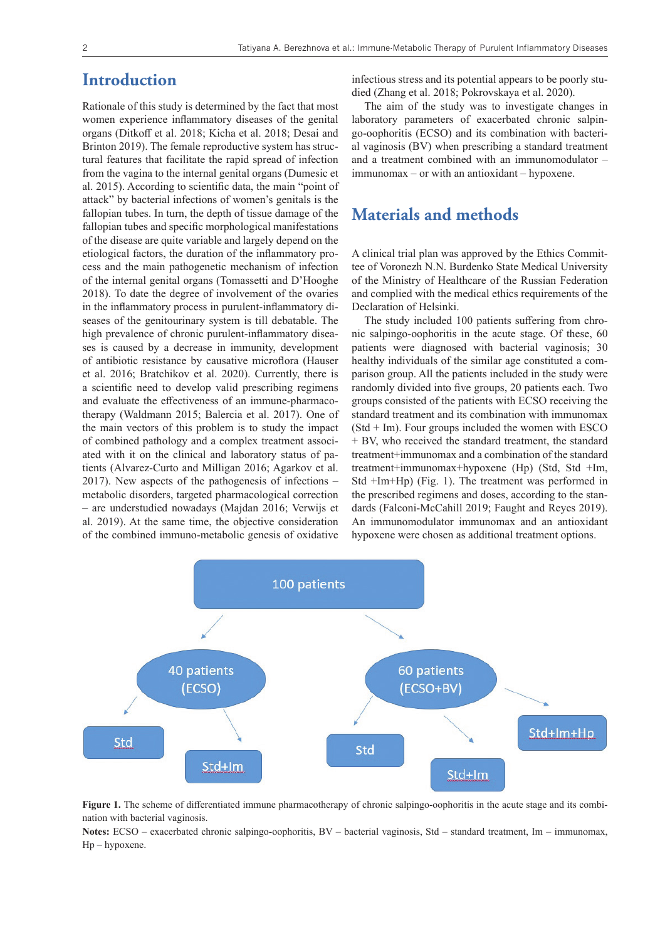# **Introduction**

Rationale of this study is determined by the fact that most women experience inflammatory diseases of the genital organs (Ditkoff et al. 2018; Kicha et al. 2018; Desai and Brinton 2019). The female reproductive system has structural features that facilitate the rapid spread of infection from the vagina to the internal genital organs (Dumesic et al. 2015). According to scientific data, the main "point of attack" by bacterial infections of women's genitals is the fallopian tubes. In turn, the depth of tissue damage of the fallopian tubes and specific morphological manifestations of the disease are quite variable and largely depend on the etiological factors, the duration of the inflammatory process and the main pathogenetic mechanism of infection of the internal genital organs (Tomassetti and D'Hooghe 2018). To date the degree of involvement of the ovaries in the inflammatory process in purulent-inflammatory diseases of the genitourinary system is till debatable. The high prevalence of chronic purulent-inflammatory diseases is caused by a decrease in immunity, development of antibiotic resistance by causative microflora (Hauser et al. 2016; Bratchikov et al. 2020). Currently, there is a scientific need to develop valid prescribing regimens and evaluate the effectiveness of an immune-pharmacotherapy (Waldmann 2015; Balercia et al. 2017). One of the main vectors of this problem is to study the impact of combined pathology and a complex treatment associated with it on the clinical and laboratory status of patients (Alvarez-Curto and Milligan 2016; Agarkov et al. 2017). New aspects of the pathogenesis of infections – metabolic disorders, targeted pharmacological correction – are understudied nowadays (Majdan 2016; Verwijs et al. 2019). At the same time, the objective consideration of the combined immuno-metabolic genesis of oxidative

infectious stress and its potential appears to be poorly studied (Zhang et al. 2018; Pokrovskaya et al. 2020).

The aim of the study was to investigate changes in laboratory parameters of exacerbated chronic salpingo-oophoritis (ECSO) and its combination with bacterial vaginosis (BV) when prescribing a standard treatment and a treatment combined with an immunomodulator – immunomax – or with an antioxidant – hypoxene.

# **Materials and methods**

A clinical trial plan was approved by the Ethics Committee of Voronezh N.N. Burdenko State Medical University of the Ministry of Healthcare of the Russian Federation and complied with the medical ethics requirements of the Declaration of Helsinki.

The study included 100 patients suffering from chronic salpingo-oophoritis in the acute stage. Of these, 60 patients were diagnosed with bacterial vaginosis; 30 healthy individuals of the similar age constituted a comparison group. All the patients included in the study were randomly divided into five groups, 20 patients each. Two groups consisted of the patients with ECSO receiving the standard treatment and its combination with immunomax  $(Std + Im)$ . Four groups included the women with ESCO + BV, who received the standard treatment, the standard treatment+immunomax and a combination of the standard treatment+immunomax+hypoxene (Hp) (Std, Std +Im, Std +Im+Hp) (Fig. 1). The treatment was performed in the prescribed regimens and doses, according to the standards (Falconi-McCahill 2019; Faught and Reyes 2019). An immunomodulator immunomax and an antioxidant hypoxene were chosen as additional treatment options.



**Figure 1.** The scheme of differentiated immune pharmacotherapy of chronic salpingo-oophoritis in the acute stage and its combination with bacterial vaginosis.

**Notes:** ECSO – exacerbated chronic salpingo-oophoritis, BV – bacterial vaginosis, Std – standard treatment, Im – immunomax, Hp – hypoxene.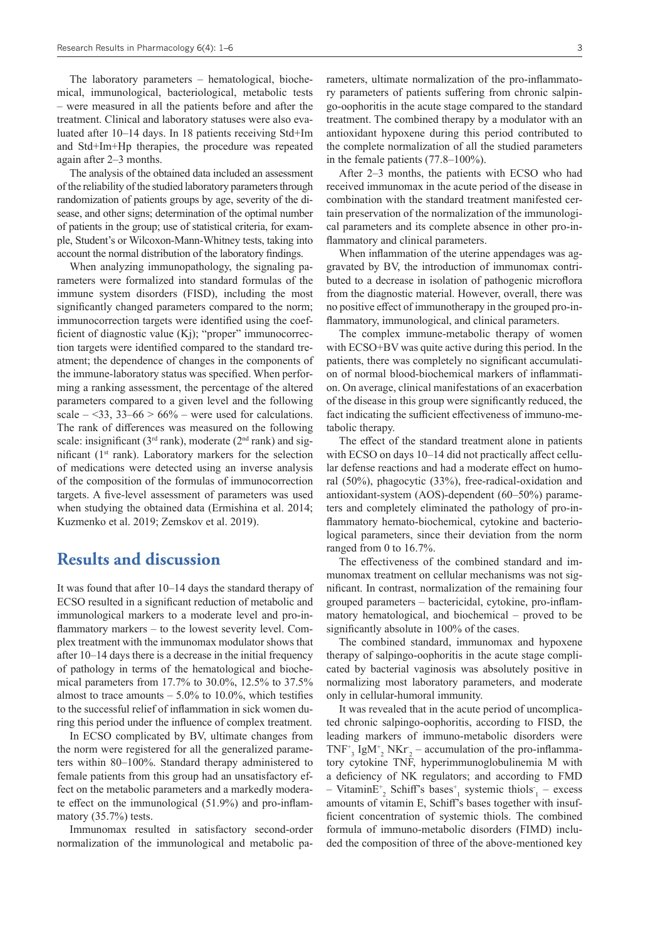The laboratory parameters – hematological, biochemical, immunological, bacteriological, metabolic tests – were measured in all the patients before and after the treatment. Clinical and laboratory statuses were also evaluated after 10–14 days. In 18 patients receiving Std+Im and Std+Im+Hp therapies, the procedure was repeated again after 2–3 months.

The analysis of the obtained data included an assessment of the reliability of the studied laboratory parameters through randomization of patients groups by age, severity of the disease, and other signs; determination of the optimal number of patients in the group; use of statistical criteria, for example, Student's or Wilcoxon-Mann-Whitney tests, taking into account the normal distribution of the laboratory findings.

When analyzing immunopathology, the signaling parameters were formalized into standard formulas of the immune system disorders (FISD), including the most significantly changed parameters compared to the norm; immunocorrection targets were identified using the coefficient of diagnostic value (Kj); "proper" immunocorrection targets were identified compared to the standard treatment; the dependence of changes in the components of the immune-laboratory status was specified. When performing a ranking assessment, the percentage of the altered parameters compared to a given level and the following scale  $-\langle 33, 33-66 \rangle$  = 66% – were used for calculations. The rank of differences was measured on the following scale: insignificant ( $3<sup>rd</sup>$  rank), moderate ( $2<sup>nd</sup>$  rank) and significant  $(1<sup>st</sup> rank)$ . Laboratory markers for the selection of medications were detected using an inverse analysis of the composition of the formulas of immunocorrection targets. A five-level assessment of parameters was used when studying the obtained data (Ermishina et al. 2014; Kuzmenko et al. 2019; Zemskov et al. 2019).

#### **Results and discussion**

It was found that after 10–14 days the standard therapy of ECSO resulted in a significant reduction of metabolic and immunological markers to a moderate level and pro-inflammatory markers – to the lowest severity level. Complex treatment with the immunomax modulator shows that after 10–14 days there is a decrease in the initial frequency of pathology in terms of the hematological and biochemical parameters from 17.7% to 30.0%, 12.5% to 37.5% almost to trace amounts  $-5.0\%$  to 10.0%, which testifies to the successful relief of inflammation in sick women during this period under the influence of complex treatment.

In ECSO complicated by BV, ultimate changes from the norm were registered for all the generalized parameters within 80–100%. Standard therapy administered to female patients from this group had an unsatisfactory effect on the metabolic parameters and a markedly moderate effect on the immunological (51.9%) and pro-inflammatory (35.7%) tests.

Immunomax resulted in satisfactory second-order normalization of the immunological and metabolic parameters, ultimate normalization of the pro-inflammatory parameters of patients suffering from chronic salpingo-oophoritis in the acute stage compared to the standard treatment. The combined therapy by a modulator with an antioxidant hypoxene during this period contributed to the complete normalization of all the studied parameters in the female patients (77.8–100%).

After 2–3 months, the patients with ECSO who had received immunomax in the acute period of the disease in combination with the standard treatment manifested certain preservation of the normalization of the immunological parameters and its complete absence in other pro-inflammatory and clinical parameters.

When inflammation of the uterine appendages was aggravated by BV, the introduction of immunomax contributed to a decrease in isolation of pathogenic microflora from the diagnostic material. However, overall, there was no positive effect of immunotherapy in the grouped pro-inflammatory, immunological, and clinical parameters.

The complex immune-metabolic therapy of women with ECSO+BV was quite active during this period. In the patients, there was completely no significant accumulation of normal blood-biochemical markers of inflammation. On average, clinical manifestations of an exacerbation of the disease in this group were significantly reduced, the fact indicating the sufficient effectiveness of immuno-metabolic therapy.

The effect of the standard treatment alone in patients with ECSO on days 10–14 did not practically affect cellular defense reactions and had a moderate effect on humoral (50%), phagocytic (33%), free-radical-oxidation and antioxidant-system (AOS)-dependent (60–50%) parameters and completely eliminated the pathology of pro-inflammatory hemato-biochemical, cytokine and bacteriological parameters, since their deviation from the norm ranged from 0 to 16.7%.

The effectiveness of the combined standard and immunomax treatment on cellular mechanisms was not significant. In contrast, normalization of the remaining four grouped parameters – bactericidal, cytokine, pro-inflammatory hematological, and biochemical – proved to be significantly absolute in 100% of the cases.

The combined standard, immunomax and hypoxene therapy of salpingo-oophoritis in the acute stage complicated by bacterial vaginosis was absolutely positive in normalizing most laboratory parameters, and moderate only in cellular-humoral immunity.

It was revealed that in the acute period of uncomplicated chronic salpingo-oophoritis, according to FISD, the leading markers of immuno-metabolic disorders were  $TNF^+$ <sub>3</sub> IgM<sup>+</sup><sub>2</sub> NKr<sub>2</sub> – accumulation of the pro-inflammatory cytokine TNF, hyperimmunoglobulinemia M with a deficiency of NK regulators; and according to FMD - Vitamin $E^+$ <sub>2</sub> Schiff's bases<sup>+</sup><sub>1</sub> systemic thiols<sup>-</sup><sub>1</sub> - excess amounts of vitamin E, Schiff's bases together with insufficient concentration of systemic thiols. The combined formula of immuno-metabolic disorders (FIMD) included the composition of three of the above-mentioned key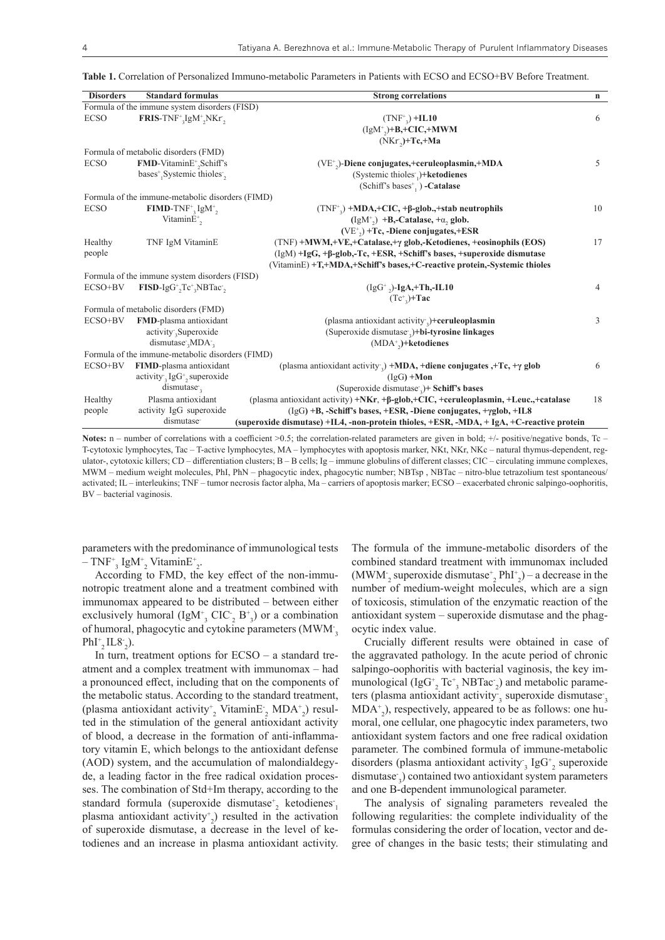**Table 1.** Correlation of Personalized Immuno-metabolic Parameters in Patients with ECSO and ECSO+BV Before Treatment.

| <b>Disorders</b> | <b>Standard formulas</b>                                                   | <b>Strong correlations</b>                                                                            | $\mathbf n$    |
|------------------|----------------------------------------------------------------------------|-------------------------------------------------------------------------------------------------------|----------------|
|                  | Formula of the immune system disorders (FISD)                              |                                                                                                       |                |
| <b>ECSO</b>      | $FRIS-TNF^{+}$ <sub>1g</sub> M <sup>+</sup> <sub>2</sub> NKr <sup>2</sup>  | $(TNF^+) + IL10$                                                                                      | 6              |
|                  |                                                                            | $(IgM^*_{\alpha})+B,+CIC,+MWM$                                                                        |                |
|                  |                                                                            | $(NKr_{2})+Tc,+Ma$                                                                                    |                |
|                  | Formula of metabolic disorders (FMD)                                       |                                                                                                       |                |
| <b>ECSO</b>      | FMD-VitaminE <sup>+</sup> <sub>2</sub> Schiff's                            | (VE <sup>+</sup> <sub>2</sub> )-Diene conjugates,+ceruleoplasmin,+MDA                                 | 5              |
|                  | bases <sup>+</sup> <sub>1</sub> Systemic thioles <sup>-</sup> <sub>2</sub> | (Systemic thioles $_1$ )+ <b>ketodienes</b>                                                           |                |
|                  |                                                                            | (Schiff's bases <sup>+</sup> , ) -Catalase                                                            |                |
|                  | Formula of the immune-metabolic disorders (FIMD)                           |                                                                                                       |                |
| <b>ECSO</b>      | $\mathbf{FIMD}\text{-}\mathrm{TNF}^*$ , IgM <sup>+</sup> <sub>2</sub>      | $(TNF^{\dagger}_{2})$ +MDA,+CIC, + $\beta$ -glob.,+stab neutrophils                                   | 10             |
|                  | Vitamin $E^*$ ,                                                            | $(IgM^{\dagger})$ +B,-Catalase, + $\alpha$ , glob.                                                    |                |
|                  |                                                                            | $(VE^{\scriptscriptstyle +}),$ +Tc, -Diene conjugates,+ESR                                            |                |
| Healthy          | TNF IgM VitaminE                                                           | (TNF) +MWM,+VE,+Catalase,+y glob,-Ketodienes, +eosinophils (EOS)                                      | 17             |
| people           |                                                                            | $(IgM) + IgG$ , $+ \beta$ -glob,-Tc, $+ESR$ , $+Schiff's$ bases, $+supercxide$ dismutase              |                |
|                  |                                                                            | (VitaminE) +T,+MDA,+Schiff's bases,+C-reactive protein,-Systemic thioles                              |                |
|                  | Formula of the immune system disorders (FISD)                              |                                                                                                       |                |
| ECSO+BV          | $FISD-IgG+,Tc+, NBTac-,$                                                   | $(IgG^+$ <sub>2</sub> )-IgA <sub>7</sub> +Th <sub>7</sub> -IL10                                       | $\overline{4}$ |
|                  |                                                                            | $(Tc^*)$ +Tac                                                                                         |                |
|                  | Formula of metabolic disorders (FMD)                                       |                                                                                                       |                |
| ECSO+BV          | FMD-plasma antioxidant                                                     | (plasma antioxidant activity,)+ceruleoplasmin                                                         | 3              |
|                  | activity <sub>3</sub> Superoxide                                           | (Superoxide dismutase,)+bi-tyrosine linkages                                                          |                |
|                  | dismutase, MDA,                                                            | $(MDA^*)+ketodienes$                                                                                  |                |
|                  | Formula of the immune-metabolic disorders (FIMD)                           |                                                                                                       |                |
| ECSO+BV          | FIMD-plasma antioxidant                                                    | (plasma antioxidant activity,) +MDA, +diene conjugates, +Tc, + $\gamma$ glob                          | 6              |
|                  | activity, $IgG^+$ , superoxide                                             | $(IgG) + Mon$                                                                                         |                |
|                  | $d$ ismutase,                                                              | (Superoxide dismutase )+ Schiff's bases                                                               |                |
| Healthy          | Plasma antioxidant                                                         | (plasma antioxidant activity) $+NKr$ , $+β$ -glob, $+CIC$ , $+ceruleoplasmin$ , $+Leuc$ , $+catalase$ | 18             |
| people           | activity IgG superoxide                                                    | (IgG) +B, -Schiff's bases, +ESR, -Diene conjugates, +yglob, +IL8                                      |                |
|                  | dismutase <sup>-</sup>                                                     | (superoxide dismutase) +IL4, -non-protein thioles, +ESR, -MDA, + IgA, +C-reactive protein             |                |

**Notes:** n – number of correlations with a coefficient >0.5; the correlation-related parameters are given in bold; +/- positive/negative bonds, Tc – T-cytotoxic lymphocytes, Tac – T-active lymphocytes, MA – lymphocytes with apoptosis marker, NKt, NKr, NKc – natural thymus-dependent, regulator-, cytotoxic killers; CD – differentiation clusters; B – B cells; Ig – immune globulins of different classes; CIC – circulating immune complexes, MWM – medium weight molecules, PhI, PhN – phagocytic index, phagocytic number; NBTsp , NBTac – nitro-blue tetrazolium test spontaneous/ activated; IL – interleukins; TNF – tumor necrosis factor alpha, Ma – carriers of apoptosis marker; ECSO – exacerbated chronic salpingo-oophoritis, BV – bacterial vaginosis.

parameters with the predominance of immunological tests  $-$  TNF<sup>+</sup><sub>3</sub> IgM<sup>+</sup><sub>2</sub> VitaminE<sup>+</sup><sub>2</sub>.

According to FMD, the key effect of the non-immunotropic treatment alone and a treatment combined with immunomax appeared to be distributed – between either exclusively humoral  $(IgM<sup>+</sup><sub>3</sub> CIC<sub>2</sub> B<sup>+</sup><sub>3</sub>)$  or a combination of humoral, phagocytic and cytokine parameters (MWM  $_3$  $PhI^{+}_{2}IL8^{-}_{2}).$ 

In turn, treatment options for  $ECSO - a$  standard treatment and a complex treatment with immunomax – had a pronounced effect, including that on the components of the metabolic status. According to the standard treatment, (plasma antioxidant activity<sup>+</sup><sub>2</sub> VitaminE<sub>2</sub> MDA<sup>+</sup><sub>2</sub>) resulted in the stimulation of the general antioxidant activity of blood, a decrease in the formation of anti-inflammatory vitamin E, which belongs to the antioxidant defense (AOD) system, and the accumulation of malondialdegyde, a leading factor in the free radical oxidation processes. The combination of Std+Im therapy, according to the standard formula (superoxide dismutase<sup>+</sup><sub>2</sub> ketodienes<sup>-</sup><sub>1</sub> plasma antioxidant activity<sup>+</sup><sub>2</sub>) resulted in the activation of superoxide dismutase, a decrease in the level of ketodienes and an increase in plasma antioxidant activity.

The formula of the immune-metabolic disorders of the combined standard treatment with immunomax included  $(MWM_2)$  superoxide dismutase<sup>+</sup><sub>2</sub> PhI<sup>+</sup><sub>2</sub> $)$  – a decrease in the number of medium-weight molecules, which are a sign of toxicosis, stimulation of the enzymatic reaction of the antioxidant system – superoxide dismutase and the phagocytic index value.

Crucially different results were obtained in case of the aggravated pathology. In the acute period of chronic salpingo-oophoritis with bacterial vaginosis, the key immunological (IgG<sup>+</sup><sub>2</sub> Tc<sup>+</sup><sub>3</sub> NBTac<sup>-</sup><sub>2</sub>) and metabolic parameters (plasma antioxidant activity<sub>3</sub> superoxide dismutase<sub>3</sub> MDA+ 2 ), respectively, appeared to be as follows: one humoral, one cellular, one phagocytic index parameters, two antioxidant system factors and one free radical oxidation parameter. The combined formula of immune-metabolic disorders (plasma antioxidant activity, IgG<sup>+</sup><sub>2</sub> superoxide dismutase-3 ) contained two antioxidant system parameters and one B-dependent immunological parameter.

The analysis of signaling parameters revealed the following regularities: the complete individuality of the formulas considering the order of location, vector and degree of changes in the basic tests; their stimulating and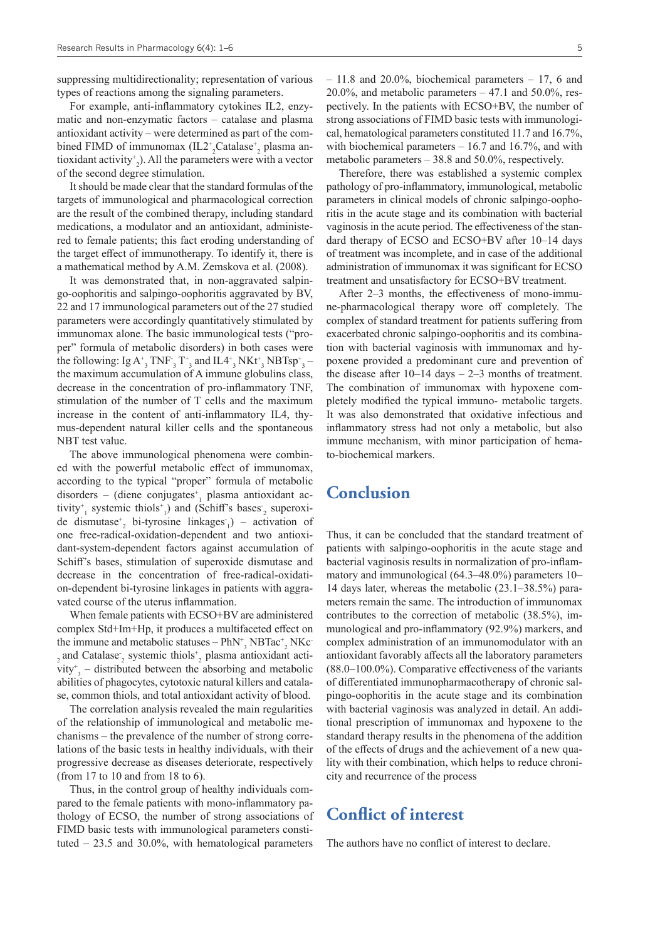suppressing multidirectionality; representation of various types of reactions among the signaling parameters.

For example, anti-inflammatory cytokines IL2, enzymatic and non-enzymatic factors – catalase and plasma antioxidant activity – were determined as part of the combined FIMD of immunomax  $(\text{IL2}^*_2\text{Catalase}^*_2)$  plasma antioxidant activity+ 2 ). All the parameters were with a vector of the second degree stimulation.

It should be made clear that the standard formulas of the targets of immunological and pharmacological correction are the result of the combined therapy, including standard medications, a modulator and an antioxidant, administered to female patients; this fact eroding understanding of the target effect of immunotherapy. To identify it, there is a mathematical method by A.M. Zemskova et al. (2008).

It was demonstrated that, in non-aggravated salpingo-oophoritis and salpingo-oophoritis aggravated by BV, 22 and 17 immunological parameters out of the 27 studied parameters were accordingly quantitatively stimulated by immunomax alone. The basic immunological tests ("proper" formula of metabolic disorders) in both cases were the following: Ig  $A_3^+$  TNF $_3^+$ T<sup>+</sup><sub>3</sub> and IL4<sup>+</sup><sub>3</sub> NKt<sup>+</sup><sub>3</sub> NBTsp<sup>+</sup><sub>3</sub> – the maximum accumulation of A immune globulins class, decrease in the concentration of pro-inflammatory TNF, stimulation of the number of T cells and the maximum increase in the content of anti-inflammatory IL4, thymus-dependent natural killer cells and the spontaneous NBT test value.

The above immunological phenomena were combined with the powerful metabolic effect of immunomax, according to the typical "proper" formula of metabolic disorders – (diene conjugates<sup>+</sup><sub>1</sub> plasma antioxidant activity<sup>+</sup><sub>1</sub> systemic thiols<sup>+</sup><sub>1</sub>) and (Schiff's bases<sub>2</sub> superoxide dismutase<sup>+</sup><sub>2</sub> bi-tyrosine linkages<sup>-</sup><sub>1</sub>) – activation of one free-radical-oxidation-dependent and two antioxidant-system-dependent factors against accumulation of Schiff's bases, stimulation of superoxide dismutase and decrease in the concentration of free-radical-oxidation-dependent bi-tyrosine linkages in patients with aggravated course of the uterus inflammation.

When female patients with ECSO+BV are administered complex Std+Im+Hp, it produces a multifaceted effect on the immune and metabolic statuses  $-$  PhN<sup>+</sup><sub>3</sub></sub> NBTac<sup>+</sup><sub>2</sub> NKc<sup>-</sup>  $_2$  and Catalase<sup>-</sup><sub>2</sub> systemic thiols<sup>+</sup><sub>2</sub> plasma antioxidant activity<sup>+</sup><sub>3</sub> – distributed between the absorbing and metabolic abilities of phagocytes, cytotoxic natural killers and catalase, common thiols, and total antioxidant activity of blood.

The correlation analysis revealed the main regularities of the relationship of immunological and metabolic mechanisms – the prevalence of the number of strong correlations of the basic tests in healthy individuals, with their progressive decrease as diseases deteriorate, respectively (from 17 to 10 and from 18 to 6).

Thus, in the control group of healthy individuals compared to the female patients with mono-inflammatory pathology of ECSO, the number of strong associations of FIMD basic tests with immunological parameters constituted – 23.5 and 30.0%, with hematological parameters

– 11.8 and 20.0%, biochemical parameters – 17, 6 and 20.0%, and metabolic parameters  $-47.1$  and 50.0%, respectively. In the patients with ECSO+BV, the number of strong associations of FIMD basic tests with immunological, hematological parameters constituted 11.7 and 16.7%, with biochemical parameters  $-16.7$  and  $16.7%$ , and with metabolic parameters – 38.8 and 50.0%, respectively.

Therefore, there was established a systemic complex pathology of pro-inflammatory, immunological, metabolic parameters in clinical models of chronic salpingo-oophoritis in the acute stage and its combination with bacterial vaginosis in the acute period. The effectiveness of the standard therapy of ECSO and ECSO+BV after 10–14 days of treatment was incomplete, and in case of the additional administration of immunomax it was significant for ECSO treatment and unsatisfactory for ECSO+BV treatment.

After 2–3 months, the effectiveness of mono-immune-pharmacological therapy wore off completely. The complex of standard treatment for patients suffering from exacerbated chronic salpingo-oophoritis and its combination with bacterial vaginosis with immunomax and hypoxene provided a predominant cure and prevention of the disease after  $10-14$  days  $-2-3$  months of treatment. The combination of immunomax with hypoxene completely modified the typical immuno- metabolic targets. It was also demonstrated that oxidative infectious and inflammatory stress had not only a metabolic, but also immune mechanism, with minor participation of hemato-biochemical markers.

#### **Conclusion**

Thus, it can be concluded that the standard treatment of patients with salpingo-oophoritis in the acute stage and bacterial vaginosis results in normalization of pro-inflammatory and immunological (64.3–48.0%) parameters 10– 14 days later, whereas the metabolic (23.1–38.5%) parameters remain the same. The introduction of immunomax contributes to the correction of metabolic (38.5%), immunological and pro-inflammatory (92.9%) markers, and complex administration of an immunomodulator with an antioxidant favorably affects all the laboratory parameters (88.0–100.0%). Comparative effectiveness of the variants of differentiated immunopharmacotherapy of chronic salpingo-oophoritis in the acute stage and its combination with bacterial vaginosis was analyzed in detail. An additional prescription of immunomax and hypoxene to the standard therapy results in the phenomena of the addition of the effects of drugs and the achievement of a new quality with their combination, which helps to reduce chronicity and recurrence of the process

# **Conflict of interest**

The authors have no conflict of interest to declare.